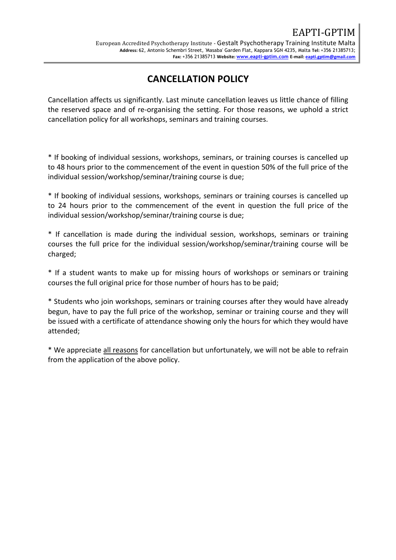## **CANCELLATION POLICY**

Cancellation affects us significantly. Last minute cancellation leaves us little chance of filling the reserved space and of re-organising the setting. For those reasons, we uphold a strict cancellation policy for all workshops, seminars and training courses.

\* If booking of individual sessions, workshops, seminars, or training courses is cancelled up to 48 hours prior to the commencement of the event in question 50% of the full price of the individual session/workshop/seminar/training course is due;

\* If booking of individual sessions, workshops, seminars or training courses is cancelled up to 24 hours prior to the commencement of the event in question the full price of the individual session/workshop/seminar/training course is due;

\* If cancellation is made during the individual session, workshops, seminars or training courses the full price for the individual session/workshop/seminar/training course will be charged;

\* If a student wants to make up for missing hours of workshops or seminars or training courses the full original price for those number of hours has to be paid;

\* Students who join workshops, seminars or training courses after they would have already begun, have to pay the full price of the workshop, seminar or training course and they will be issued with a certificate of attendance showing only the hours for which they would have attended;

\* We appreciate all reasons for cancellation but unfortunately, we will not be able to refrain from the application of the above policy.